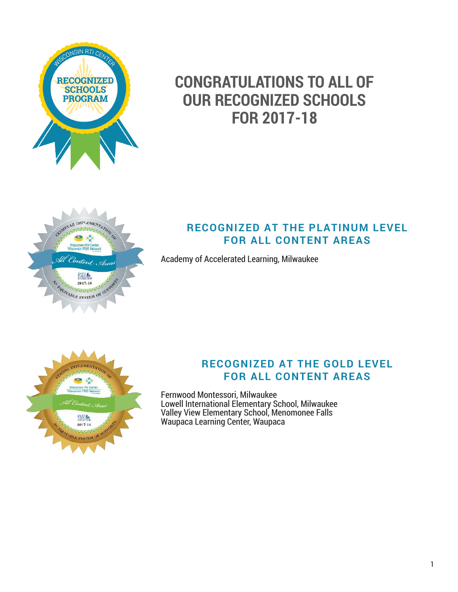

# **CONGRATULATIONS TO ALL OF OUR RECOGNIZED SCHOOLS FOR 2017-18**



# **RECOGNIZED AT THE PLATINUM LEVEL FOR ALL CONTENT AREAS**

Academy of Accelerated Learning, Milwaukee



# **RECOGNIZED AT THE GOLD LEVEL FOR ALL CONTENT AREAS**

Fernwood Montessori, Milwaukee Lowell International Elementary School, Milwaukee Valley View Elementary School, Menomonee Falls Waupaca Learning Center, Waupaca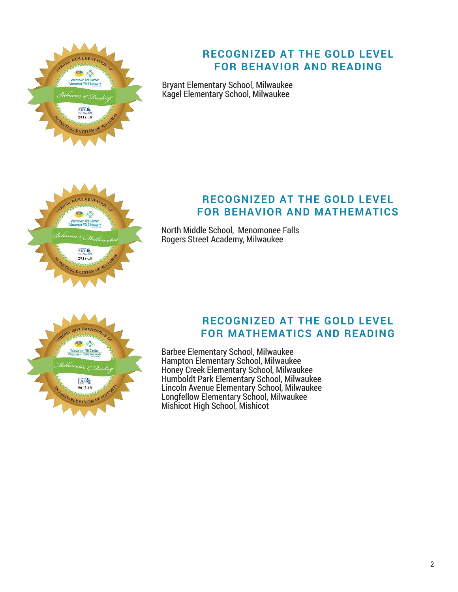

# **RECOGNIZED AT THE GOLD LEVEL FOR BEHAVIOR AND READING**

Bryant Elementary School, Milwaukee Kagel Elementary School, Milwaukee



# **RECOGNIZED AT THE GOLD LEVEL FOR BEHAVIOR AND MATHEMATICS**

North Middle School, Menomonee Falls Rogers Street Academy, Milwaukee



#### **RECOGNIZED AT THE GOLD LEVEL FOR MATHEMATICS AND READING**

Barbee Elementary School, Milwaukee Hampton Elementary School, Milwaukee Honey Creek Elementary School, Milwaukee Humboldt Park Elementary School, Milwaukee Lincoln Avenue Elementary School, Milwaukee Longfellow Elementary School, Milwaukee Mishicot High School, Mishicot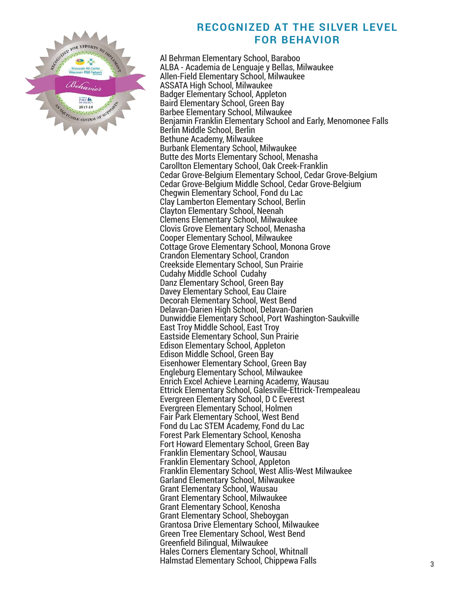

# **RECOGNIZED AT THE SILVER LEVEL FOR BEHAVIOR**

Al Behrman Elementary School, Baraboo ALBA - Academia de Lenguaje y Bellas, Milwaukee Allen-Field Elementary School, Milwaukee ASSATA High School, Milwaukee Badger Elementary School, Appleton Baird Elementary School, Green Bay Barbee Elementary School, Milwaukee Benjamin Franklin Elementary School and Early, Menomonee Falls Berlin Middle School, Berlin Bethune Academy, Milwaukee Burbank Elementary School, Milwaukee Butte des Morts Elementary School, Menasha Carollton Elementary School, Oak Creek-Franklin Cedar Grove-Belgium Elementary School, Cedar Grove-Belgium Cedar Grove-Belgium Middle School, Cedar Grove-Belgium Chegwin Elementary School, Fond du Lac Clay Lamberton Elementary School, Berlin Clayton Elementary School, Neenah Clemens Elementary School, Milwaukee Clovis Grove Elementary School, Menasha Cooper Elementary School, Milwaukee Cottage Grove Elementary School, Monona Grove Crandon Elementary School, Crandon Creekside Elementary School, Sun Prairie Cudahy Middle School Cudahy Danz Elementary School, Green Bay Davey Elementary School, Eau Claire Decorah Elementary School, West Bend Delavan-Darien High School, Delavan-Darien Dunwiddie Elementary School, Port Washington-Saukville East Troy Middle School, East Troy Eastside Elementary School, Sun Prairie Edison Elementary School, Appleton Edison Middle School, Green Bay Eisenhower Elementary School, Green Bay Engleburg Elementary School, Milwaukee Enrich Excel Achieve Learning Academy, Wausau Ettrick Elementary School, Galesville-Ettrick-Trempealeau Evergreen Elementary School, D C Everest Evergreen Elementary School, Holmen Fair Park Elementary School, West Bend Fond du Lac STEM Academy, Fond du Lac Forest Park Elementary School, Kenosha Fort Howard Elementary School, Green Bay Franklin Elementary School, Wausau Franklin Elementary School, Appleton Franklin Elementary School, West Allis-West Milwaukee Garland Elementary School, Milwaukee Grant Elementary School, Wausau Grant Elementary School, Milwaukee Grant Elementary School, Kenosha Grant Elementary School, Sheboygan Grantosa Drive Elementary School, Milwaukee Green Tree Elementary School, West Bend Greenfield Bilingual, Milwaukee Hales Corners Elementary School, Whitnall Halmstad Elementary School, Chippewa Falls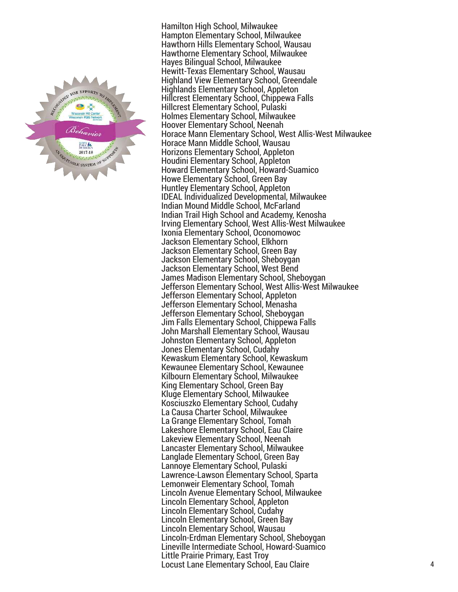

Hamilton High School, Milwaukee Hampton Elementary School, Milwaukee Hawthorn Hills Elementary School, Wausau Hawthorne Elementary School, Milwaukee Hayes Bilingual School, Milwaukee Hewitt-Texas Elementary School, Wausau Highland View Elementary School, Greendale Highlands Elementary School, Appleton Hillcrest Elementary School, Chippewa Falls Hillcrest Elementary School, Pulaski Holmes Elementary School, Milwaukee Hoover Elementary School, Neenah Horace Mann Elementary School, West Allis-West Milwaukee Horace Mann Middle School, Wausau Horizons Elementary School, Appleton Houdini Elementary School, Appleton Howard Elementary School, Howard-Suamico Howe Elementary School, Green Bay Huntley Elementary School, Appleton IDEAL Individualized Developmental, Milwaukee Indian Mound Middle School, McFarland Indian Trail High School and Academy, Kenosha Irving Elementary School, West Allis-West Milwaukee Ixonia Elementary School, Oconomowoc Jackson Elementary School, Elkhorn Jackson Elementary School, Green Bay Jackson Elementary School, Sheboygan Jackson Elementary School, West Bend James Madison Elementary School, Sheboygan Jefferson Elementary School, West Allis-West Milwaukee Jefferson Elementary School, Appleton Jefferson Elementary School, Menasha Jefferson Elementary School, Sheboygan Jim Falls Elementary School, Chippewa Falls John Marshall Elementary School, Wausau Johnston Elementary School, Appleton Jones Elementary School, Cudahy Kewaskum Elementary School, Kewaskum Kewaunee Elementary School, Kewaunee Kilbourn Elementary School, Milwaukee King Elementary School, Green Bay Kluge Elementary School, Milwaukee Kosciuszko Elementary School, Cudahy La Causa Charter School, Milwaukee La Grange Elementary School, Tomah Lakeshore Elementary School, Eau Claire Lakeview Elementary School, Neenah Lancaster Elementary School, Milwaukee Langlade Elementary School, Green Bay Lannoye Elementary School, Pulaski Lawrence-Lawson Elementary School, Sparta Lemonweir Elementary School, Tomah Lincoln Avenue Elementary School, Milwaukee Lincoln Elementary School, Appleton Lincoln Elementary School, Cudahy Lincoln Elementary School, Green Bay Lincoln Elementary School, Wausau Lincoln-Erdman Elementary School, Sheboygan Lineville Intermediate School, Howard-Suamico Little Prairie Primary, East Troy Locust Lane Elementary School, Eau Claire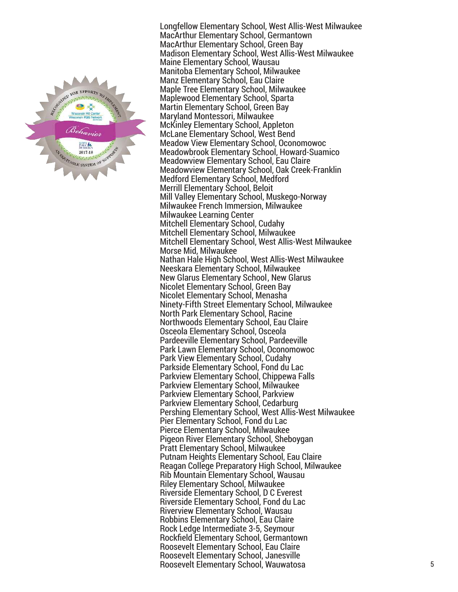

Longfellow Elementary School, West Allis-West Milwaukee MacArthur Elementary School, Germantown MacArthur Elementary School, Green Bay Madison Elementary School, West Allis-West Milwaukee Maine Elementary School, Wausau Manitoba Elementary School, Milwaukee Manz Elementary School, Eau Claire Maple Tree Elementary School, Milwaukee Maplewood Elementary School, Sparta Martin Elementary School, Green Bay Maryland Montessori, Milwaukee McKinley Elementary School, Appleton McLane Elementary School, West Bend Meadow View Elementary School, Oconomowoc Meadowbrook Elementary School, Howard-Suamico Meadowview Elementary School, Eau Claire Meadowview Elementary School, Oak Creek-Franklin Medford Elementary School, Medford Merrill Elementary School, Beloit Mill Valley Elementary School, Muskego-Norway Milwaukee French Immersion, Milwaukee Milwaukee Learning Center Mitchell Elementary School, Cudahy Mitchell Elementary School, Milwaukee Mitchell Elementary School, West Allis-West Milwaukee Morse Mid, Milwaukee Nathan Hale High School, West Allis-West Milwaukee Neeskara Elementary School, Milwaukee New Glarus Elementary School , New Glarus Nicolet Elementary School, Green Bay Nicolet Elementary School, Menasha Ninety-Fifth Street Elementary School, Milwaukee North Park Elementary School, Racine Northwoods Elementary School, Eau Claire Osceola Elementary School, Osceola Pardeeville Elementary School, Pardeeville Park Lawn Elementary School, Oconomowoc Park View Elementary School, Cudahy Parkside Elementary School, Fond du Lac Parkview Elementary School, Chippewa Falls Parkview Elementary School, Milwaukee Parkview Elementary School, Parkview Parkview Elementary School, Cedarburg Pershing Elementary School, West Allis-West Milwaukee Pier Elementary School, Fond du Lac Pierce Elementary School, Milwaukee Pigeon River Elementary School, Sheboygan Pratt Elementary School, Milwaukee Putnam Heights Elementary School, Eau Claire Reagan College Preparatory High School, Milwaukee Rib Mountain Elementary School, Wausau Riley Elementary School, Milwaukee Riverside Elementary School, D C Everest Riverside Elementary School, Fond du Lac Riverview Elementary School, Wausau Robbins Elementary School, Eau Claire Rock Ledge Intermediate 3-5, Seymour Rockfield Elementary School, Germantown Roosevelt Elementary School, Eau Claire Roosevelt Elementary School, Janesville Roosevelt Elementary School, Wauwatosa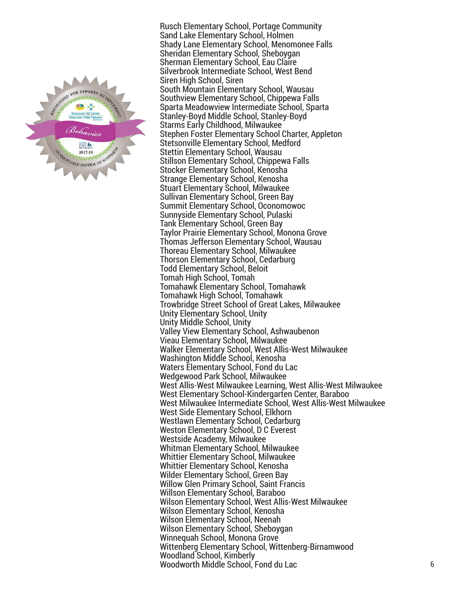

Rusch Elementary School, Portage Community Sand Lake Elementary School, Holmen Shady Lane Elementary School, Menomonee Falls Sheridan Elementary School, Sheboygan Sherman Elementary School, Eau Claire Silverbrook Intermediate School, West Bend Siren High School, Siren South Mountain Elementary School, Wausau Southview Elementary School, Chippewa Falls Sparta Meadowview Intermediate School, Sparta Stanley-Boyd Middle School, Stanley-Boyd Starms Early Childhood, Milwaukee Stephen Foster Elementary School Charter, Appleton Stetsonville Elementary School, Medford Stettin Elementary School, Wausau Stillson Elementary School, Chippewa Falls Stocker Elementary School, Kenosha Strange Elementary School, Kenosha Stuart Elementary School, Milwaukee Sullivan Elementary School, Green Bay Summit Elementary School, Oconomowoc Sunnyside Elementary School, Pulaski Tank Elementary School, Green Bay Taylor Prairie Elementary School, Monona Grove Thomas Jefferson Elementary School, Wausau Thoreau Elementary School, Milwaukee Thorson Elementary School, Cedarburg Todd Elementary School, Beloit Tomah High School, Tomah Tomahawk Elementary School, Tomahawk Tomahawk High School, Tomahawk Trowbridge Street School of Great Lakes, Milwaukee Unity Elementary School, Unity Unity Middle School, Unity Valley View Elementary School, Ashwaubenon Vieau Elementary School, Milwaukee Walker Elementary School, West Allis-West Milwaukee Washington Middle School, Kenosha Waters Elementary School, Fond du Lac Wedgewood Park School, Milwaukee West Allis-West Milwaukee Learning, West Allis-West Milwaukee West Elementary School-Kindergarten Center, Baraboo West Milwaukee Intermediate School, West Allis-West Milwaukee West Side Elementary School, Elkhorn Westlawn Elementary School, Cedarburg Weston Elementary School, D C Everest Westside Academy, Milwaukee Whitman Elementary School, Milwaukee Whittier Elementary School, Milwaukee Whittier Elementary School, Kenosha Wilder Elementary School, Green Bay Willow Glen Primary School, Saint Francis Willson Elementary School, Baraboo Wilson Elementary School, West Allis-West Milwaukee Wilson Elementary School, Kenosha Wilson Elementary School, Neenah Wilson Elementary School, Sheboygan Winnequah School, Monona Grove Wittenberg Elementary School, Wittenberg-Birnamwood Woodland School, Kimberly Woodworth Middle School, Fond du Lac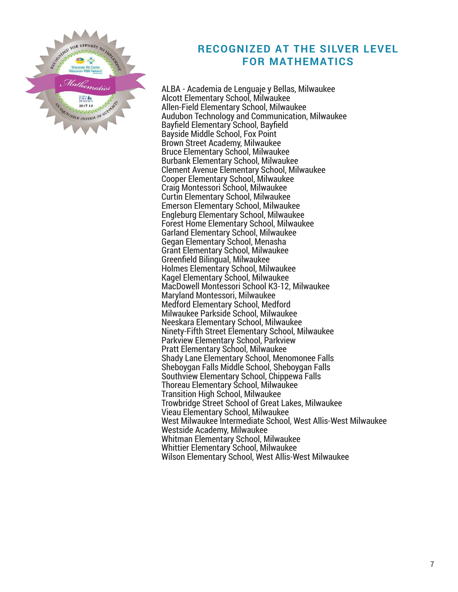

## **RECOGNIZED AT THE SILVER LEVEL FOR MATHEMATICS**

ALBA - Academia de Lenguaje y Bellas, Milwaukee Alcott Elementary School, Milwaukee Allen-Field Elementary School, Milwaukee Audubon Technology and Communication, Milwaukee Bayfield Elementary School, Bayfield Bayside Middle School, Fox Point Brown Street Academy, Milwaukee Bruce Elementary School, Milwaukee Burbank Elementary School, Milwaukee Clement Avenue Elementary School, Milwaukee Cooper Elementary School, Milwaukee Craig Montessori School, Milwaukee Curtin Elementary School, Milwaukee Emerson Elementary School, Milwaukee Engleburg Elementary School, Milwaukee Forest Home Elementary School, Milwaukee Garland Elementary School, Milwaukee Gegan Elementary School, Menasha Grant Elementary School, Milwaukee Greenfield Bilingual, Milwaukee Holmes Elementary School, Milwaukee Kagel Elementary School, Milwaukee MacDowell Montessori School K3-12, Milwaukee Maryland Montessori, Milwaukee Medford Elementary School, Medford Milwaukee Parkside School, Milwaukee Neeskara Elementary School, Milwaukee Ninety-Fifth Street Elementary School, Milwaukee Parkview Elementary School, Parkview Pratt Elementary School, Milwaukee Shady Lane Elementary School, Menomonee Falls Sheboygan Falls Middle School, Sheboygan Falls Southview Elementary School, Chippewa Falls Thoreau Elementary School, Milwaukee Transition High School, Milwaukee Trowbridge Street School of Great Lakes, Milwaukee Vieau Elementary School, Milwaukee West Milwaukee Intermediate School, West Allis-West Milwaukee Westside Academy, Milwaukee Whitman Elementary School, Milwaukee Whittier Elementary School, Milwaukee Wilson Elementary School, West Allis-West Milwaukee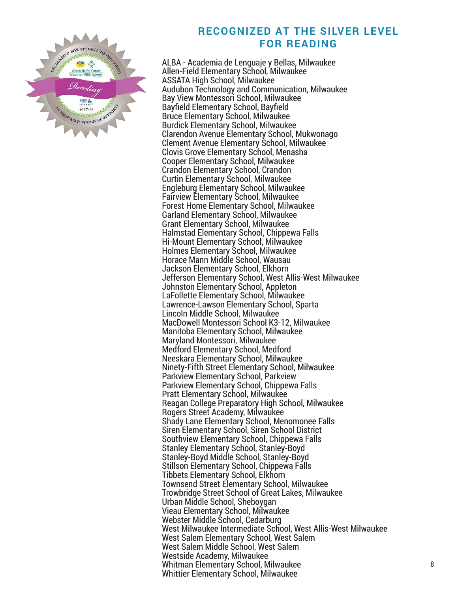

#### **RECOGNIZED AT THE SILVER LEVEL FOR READING**

ALBA - Academia de Lenguaje y Bellas, Milwaukee Allen-Field Elementary School, Milwaukee ASSATA High School, Milwaukee Audubon Technology and Communication, Milwaukee Bay View Montessori School, Milwaukee Bayfield Elementary School, Bayfield Bruce Elementary School, Milwaukee Burdick Elementary School, Milwaukee Clarendon Avenue Elementary School, Mukwonago Clement Avenue Elementary School, Milwaukee Clovis Grove Elementary School, Menasha Cooper Elementary School, Milwaukee Crandon Elementary School, Crandon Curtin Elementary School, Milwaukee Engleburg Elementary School, Milwaukee Fairview Elementary School, Milwaukee Forest Home Elementary School, Milwaukee Garland Elementary School, Milwaukee Grant Elementary School, Milwaukee Halmstad Elementary School, Chippewa Falls Hi-Mount Elementary School, Milwaukee Holmes Elementary School, Milwaukee Horace Mann Middle School, Wausau Jackson Elementary School, Elkhorn Jefferson Elementary School, West Allis-West Milwaukee Johnston Elementary School, Appleton LaFollette Elementary School, Milwaukee Lawrence-Lawson Elementary School, Sparta Lincoln Middle School, Milwaukee MacDowell Montessori School K3-12, Milwaukee Manitoba Elementary School, Milwaukee Maryland Montessori, Milwaukee Medford Elementary School, Medford Neeskara Elementary School, Milwaukee Ninety-Fifth Street Elementary School, Milwaukee Parkview Elementary School, Parkview Parkview Elementary School, Chippewa Falls Pratt Elementary School, Milwaukee Reagan College Preparatory High School, Milwaukee Rogers Street Academy, Milwaukee Shady Lane Elementary School, Menomonee Falls Siren Elementary School, Siren School District Southview Elementary School, Chippewa Falls Stanley Elementary School, Stanley-Boyd Stanley-Boyd Middle School, Stanley-Boyd Stillson Elementary School, Chippewa Falls Tibbets Elementary School, Elkhorn Townsend Street Elementary School, Milwaukee Trowbridge Street School of Great Lakes, Milwaukee Urban Middle School, Sheboygan Vieau Elementary School, Milwaukee Webster Middle School, Cedarburg West Milwaukee Intermediate School, West Allis-West Milwaukee West Salem Elementary School, West Salem West Salem Middle School, West Salem Westside Academy, Milwaukee Whitman Elementary School, Milwaukee Whittier Elementary School, Milwaukee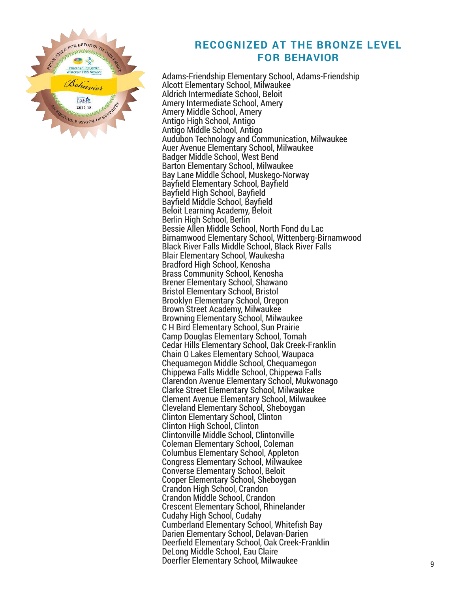

# **RECOGNIZED AT THE BRONZE LEVEL FOR BEHAVIOR**

Adams-Friendship Elementary School, Adams-Friendship Alcott Elementary School, Milwaukee Aldrich Intermediate School, Beloit Amery Intermediate School, Amery Amery Middle School, Amery Antigo High School, Antigo Antigo Middle School, Antigo Audubon Technology and Communication, Milwaukee Auer Avenue Elementary School, Milwaukee Badger Middle School, West Bend Barton Elementary School, Milwaukee Bay Lane Middle School, Muskego-Norway Bayfield Elementary School, Bayfield Bayfield High School, Bayfield Bayfield Middle School, Bayfield Beloit Learning Academy, Beloit Berlin High School, Berlin Bessie Allen Middle School, North Fond du Lac Birnamwood Elementary School, Wittenberg-Birnamwood Black River Falls Middle School, Black River Falls Blair Elementary School, Waukesha Bradford High School, Kenosha Brass Community School, Kenosha Brener Elementary School, Shawano Bristol Elementary School, Bristol Brooklyn Elementary School, Oregon Brown Street Academy, Milwaukee Browning Elementary School, Milwaukee C H Bird Elementary School, Sun Prairie Camp Douglas Elementary School, Tomah Cedar Hills Elementary School, Oak Creek-Franklin Chain O Lakes Elementary School, Waupaca Chequamegon Middle School, Chequamegon Chippewa Falls Middle School, Chippewa Falls Clarendon Avenue Elementary School, Mukwonago Clarke Street Elementary School, Milwaukee Clement Avenue Elementary School, Milwaukee Cleveland Elementary School, Sheboygan Clinton Elementary School, Clinton Clinton High School, Clinton Clintonville Middle School, Clintonville Coleman Elementary School, Coleman Columbus Elementary School, Appleton Congress Elementary School, Milwaukee Converse Elementary School, Beloit Cooper Elementary School, Sheboygan Crandon High School, Crandon Crandon Middle School, Crandon Crescent Elementary School, Rhinelander Cudahy High School, Cudahy Cumberland Elementary School, Whitefish Bay Darien Elementary School, Delavan-Darien Deerfield Elementary School, Oak Creek-Franklin DeLong Middle School, Eau Claire Doerfler Elementary School, Milwaukee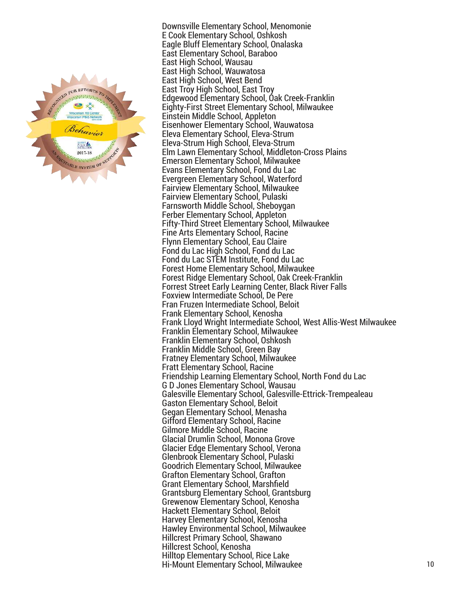

Downsville Elementary School, Menomonie E Cook Elementary School, Oshkosh Eagle Bluff Elementary School, Onalaska East Elementary School, Baraboo East High School, Wausau East High School, Wauwatosa East High School, West Bend East Troy High School, East Troy Edgewood Elementary School, Oak Creek-Franklin Eighty-First Street Elementary School, Milwaukee Einstein Middle School, Appleton Eisenhower Elementary School, Wauwatosa Eleva Elementary School, Eleva-Strum Eleva-Strum High School, Eleva-Strum Elm Lawn Elementary School, Middleton-Cross Plains Emerson Elementary School, Milwaukee Evans Elementary School, Fond du Lac Evergreen Elementary School, Waterford Fairview Elementary School, Milwaukee Fairview Elementary School, Pulaski Farnsworth Middle School, Sheboygan Ferber Elementary School, Appleton Fifty-Third Street Elementary School, Milwaukee Fine Arts Elementary School, Racine Flynn Elementary School, Eau Claire Fond du Lac High School, Fond du Lac Fond du Lac STEM Institute, Fond du Lac Forest Home Elementary School, Milwaukee Forest Ridge Elementary School, Oak Creek-Franklin Forrest Street Early Learning Center, Black River Falls Foxview Intermediate School, De Pere Fran Fruzen Intermediate School, Beloit Frank Elementary School, Kenosha Frank Lloyd Wright Intermediate School, West Allis-West Milwaukee Franklin Elementary School, Milwaukee Franklin Elementary School, Oshkosh Franklin Middle School, Green Bay Fratney Elementary School, Milwaukee Fratt Elementary School, Racine Friendship Learning Elementary School, North Fond du Lac G D Jones Elementary School, Wausau Galesville Elementary School, Galesville-Ettrick-Trempealeau Gaston Elementary School, Beloit Gegan Elementary School, Menasha Gifford Elementary School, Racine Gilmore Middle School, Racine Glacial Drumlin School, Monona Grove Glacier Edge Elementary School, Verona Glenbrook Elementary School, Pulaski Goodrich Elementary School, Milwaukee Grafton Elementary School, Grafton Grant Elementary School, Marshfield Grantsburg Elementary School, Grantsburg Grewenow Elementary School, Kenosha Hackett Elementary School, Beloit Harvey Elementary School, Kenosha Hawley Environmental School, Milwaukee Hillcrest Primary School, Shawano Hillcrest School, Kenosha Hilltop Elementary School, Rice Lake Hi-Mount Elementary School, Milwaukee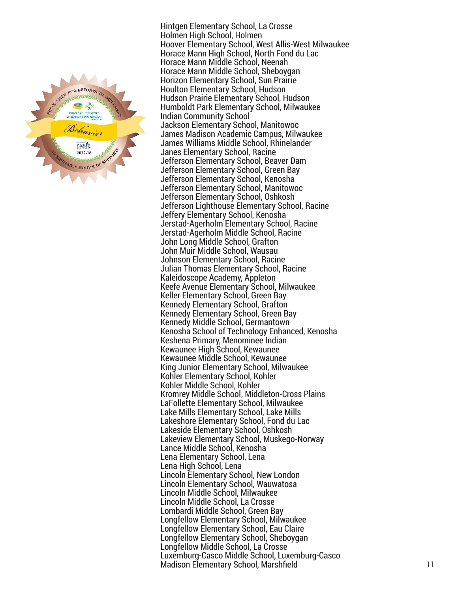

Hintgen Elementary School, La Crosse Holmen High School, Holmen Hoover Elementary School, West Allis-West Milwaukee Horace Mann High School, North Fond du Lac Horace Mann Middle School, Neenah Horace Mann Middle School, Sheboygan Horizon Elementary School, Sun Prairie Houlton Elementary School, Hudson Hudson Prairie Elementary School, Hudson Humboldt Park Elementary School, Milwaukee Indian Community School Jackson Elementary School, Manitowoc James Madison Academic Campus, Milwaukee James Williams Middle School, Rhinelander Janes Elementary School, Racine Jefferson Elementary School, Beaver Dam Jefferson Elementary School, Green Bay Jefferson Elementary School, Kenosha Jefferson Elementary School, Manitowoc Jefferson Elementary School, Oshkosh Jefferson Lighthouse Elementary School, Racine Jeffery Elementary School, Kenosha Jerstad-Agerholm Elementary School, Racine Jerstad-Agerholm Middle School, Racine John Long Middle School, Grafton John Muir Middle School, Wausau Johnson Elementary School, Racine Julian Thomas Elementary School, Racine Kaleidoscope Academy, Appleton Keefe Avenue Elementary School, Milwaukee Keller Elementary School, Green Bay Kennedy Elementary School, Grafton Kennedy Elementary School, Green Bay Kennedy Middle School, Germantown Kenosha School of Technology Enhanced, Kenosha Keshena Primary, Menominee Indian Kewaunee High School, Kewaunee Kewaunee Middle School, Kewaunee King Junior Elementary School, Milwaukee Kohler Elementary School, Kohler Kohler Middle School, Kohler Kromrey Middle School, Middleton-Cross Plains LaFollette Elementary School, Milwaukee Lake Mills Elementary School, Lake Mills Lakeshore Elementary School, Fond du Lac Lakeside Elementary School, Oshkosh Lakeview Elementary School, Muskego-Norway Lance Middle School, Kenosha Lena Elementary School, Lena Lena High School, Lena Lincoln Elementary School, New London Lincoln Elementary School, Wauwatosa Lincoln Middle School, Milwaukee Lincoln Middle School, La Crosse Lombardi Middle School, Green Bay Longfellow Elementary School, Milwaukee Longfellow Elementary School, Eau Claire Longfellow Elementary School, Sheboygan Longfellow Middle School, La Crosse Luxemburg-Casco Middle School, Luxemburg-Casco Madison Elementary School, Marshfield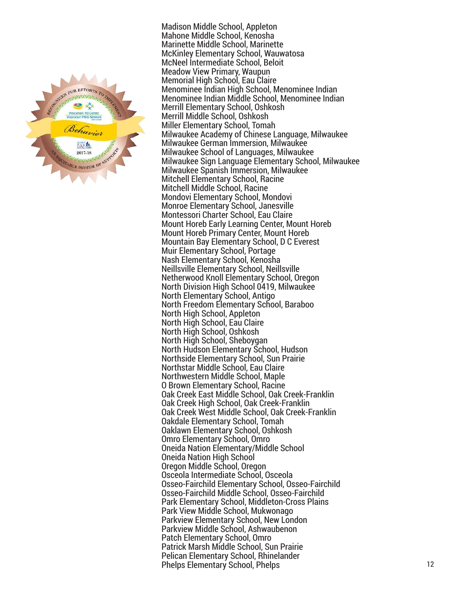

Madison Middle School, Appleton Mahone Middle School, Kenosha Marinette Middle School, Marinette McKinley Elementary School, Wauwatosa McNeel Intermediate School, Beloit Meadow View Primary, Waupun Memorial High School, Eau Claire Menominee Indian High School, Menominee Indian Menominee Indian Middle School, Menominee Indian Merrill Elementary School, Oshkosh Merrill Middle School, Oshkosh Miller Elementary School, Tomah Milwaukee Academy of Chinese Language, Milwaukee Milwaukee German Immersion, Milwaukee Milwaukee School of Languages, Milwaukee Milwaukee Sign Language Elementary School, Milwaukee Milwaukee Spanish Immersion, Milwaukee Mitchell Elementary School, Racine Mitchell Middle School, Racine Mondovi Elementary School, Mondovi Monroe Elementary School, Janesville Montessori Charter School, Eau Claire Mount Horeb Early Learning Center, Mount Horeb Mount Horeb Primary Center, Mount Horeb Mountain Bay Elementary School, D C Everest Muir Elementary School, Portage Nash Elementary School, Kenosha Neillsville Elementary School, Neillsville Netherwood Knoll Elementary School, Oregon North Division High School 0419, Milwaukee North Elementary School, Antigo North Freedom Elementary School, Baraboo North High School, Appleton North High School, Eau Claire North High School, Oshkosh North High School, Sheboygan North Hudson Elementary School, Hudson Northside Elementary School, Sun Prairie Northstar Middle School, Eau Claire Northwestern Middle School, Maple O Brown Elementary School, Racine Oak Creek East Middle School, Oak Creek-Franklin Oak Creek High School, Oak Creek-Franklin Oak Creek West Middle School, Oak Creek-Franklin Oakdale Elementary School, Tomah Oaklawn Elementary School, Oshkosh Omro Elementary School, Omro Oneida Nation Elementary/Middle School Oneida Nation High School Oregon Middle School, Oregon Osceola Intermediate School, Osceola Osseo-Fairchild Elementary School, Osseo-Fairchild Osseo-Fairchild Middle School, Osseo-Fairchild Park Elementary School, Middleton-Cross Plains Park View Middle School, Mukwonago Parkview Elementary School, New London Parkview Middle School, Ashwaubenon Patch Elementary School, Omro Patrick Marsh Middle School, Sun Prairie Pelican Elementary School, Rhinelander Phelps Elementary School, Phelps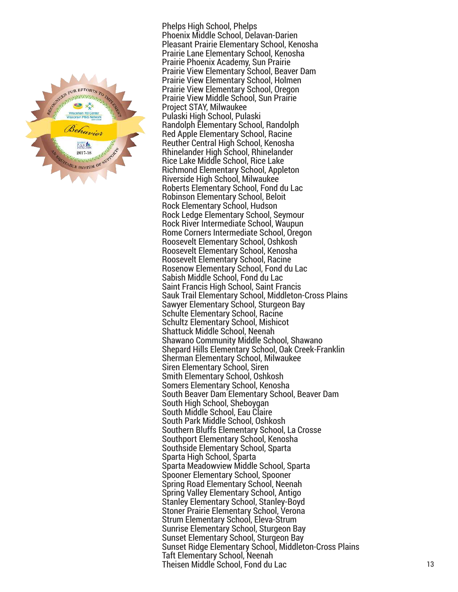

Phelps High School, Phelps Phoenix Middle School, Delavan-Darien Pleasant Prairie Elementary School, Kenosha Prairie Lane Elementary School, Kenosha Prairie Phoenix Academy, Sun Prairie Prairie View Elementary School, Beaver Dam Prairie View Elementary School, Holmen Prairie View Elementary School, Oregon Prairie View Middle School, Sun Prairie Project STAY, Milwaukee Pulaski High School, Pulaski Randolph Elementary School, Randolph Red Apple Elementary School, Racine Reuther Central High School, Kenosha Rhinelander High School, Rhinelander Rice Lake Middle School, Rice Lake Richmond Elementary School, Appleton Riverside High School, Milwaukee Roberts Elementary School, Fond du Lac Robinson Elementary School, Beloit Rock Elementary School, Hudson Rock Ledge Elementary School, Seymour Rock River Intermediate School, Waupun Rome Corners Intermediate School, Oregon Roosevelt Elementary School, Oshkosh Roosevelt Elementary School, Kenosha Roosevelt Elementary School, Racine Rosenow Elementary School, Fond du Lac Sabish Middle School, Fond du Lac Saint Francis High School, Saint Francis Sauk Trail Elementary School, Middleton-Cross Plains Sawyer Elementary School, Sturgeon Bay Schulte Elementary School, Racine Schultz Elementary School, Mishicot Shattuck Middle School, Neenah Shawano Community Middle School, Shawano Shepard Hills Elementary School, Oak Creek-Franklin Sherman Elementary School, Milwaukee Siren Elementary School, Siren Smith Elementary School, Oshkosh Somers Elementary School, Kenosha South Beaver Dam Elementary School, Beaver Dam South High School, Sheboygan South Middle School, Eau Claire South Park Middle School, Oshkosh Southern Bluffs Elementary School, La Crosse Southport Elementary School, Kenosha Southside Elementary School, Sparta Sparta High School, Sparta Sparta Meadowview Middle School, Sparta Spooner Elementary School, Spooner Spring Road Elementary School, Neenah Spring Valley Elementary School, Antigo Stanley Elementary School, Stanley-Boyd Stoner Prairie Elementary School, Verona Strum Elementary School, Eleva-Strum Sunrise Elementary School, Sturgeon Bay Sunset Elementary School, Sturgeon Bay Sunset Ridge Elementary School, Middleton-Cross Plains Taft Elementary School, Neenah Theisen Middle School, Fond du Lac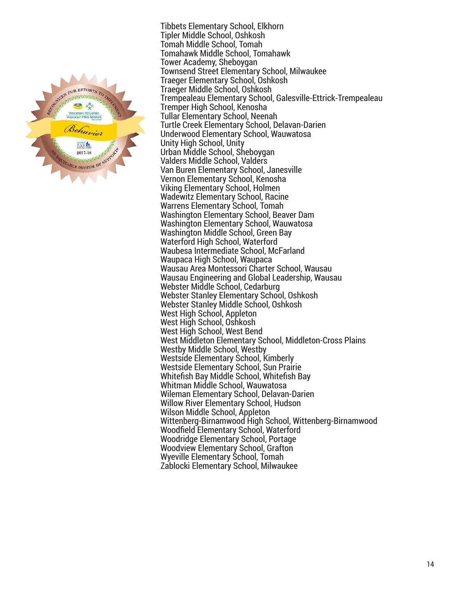

Tibbets Elementary School, Elkhorn Tipler Middle School, Oshkosh Tomah Middle School, Tomah Tomahawk Middle School, Tomahawk Tower Academy, Sheboygan Townsend Street Elementary School, Milwaukee Traeger Elementary School, Oshkosh Traeger Middle School, Oshkosh Trempealeau Elementary School, Galesville-Ettrick-Trempealeau Tremper High School, Kenosha Tullar Elementary School, Neenah Turtle Creek Elementary School, Delavan-Darien Underwood Elementary School, Wauwatosa Unity High School, Unity Urban Middle School, Sheboygan Valders Middle School, Valders Van Buren Elementary School, Janesville Vernon Elementary School, Kenosha Viking Elementary School, Holmen Wadewitz Elementary School, Racine Warrens Elementary School, Tomah Washington Elementary School, Beaver Dam Washington Elementary School, Wauwatosa Washington Middle School, Green Bay Waterford High School, Waterford Waubesa Intermediate School, McFarland Waupaca High School, Waupaca Wausau Area Montessori Charter School, Wausau Wausau Engineering and Global Leadership, Wausau Webster Middle School, Cedarburg Webster Stanley Elementary School, Oshkosh Webster Stanley Middle School, Oshkosh West High School, Appleton West High School, Oshkosh West High School, West Bend West Middleton Elementary School, Middleton-Cross Plains Westby Middle School, Westby Westside Elementary School, Kimberly Westside Elementary School, Sun Prairie Whitefish Bay Middle School, Whitefish Bay Whitman Middle School, Wauwatosa Wileman Elementary School, Delavan-Darien Willow River Elementary School, Hudson Wilson Middle School, Appleton Wittenberg-Birnamwood High School, Wittenberg-Birnamwood Woodfield Elementary School, Waterford Woodridge Elementary School, Portage Woodview Elementary School, Grafton Wyeville Elementary School, Tomah Zablocki Elementary School, Milwaukee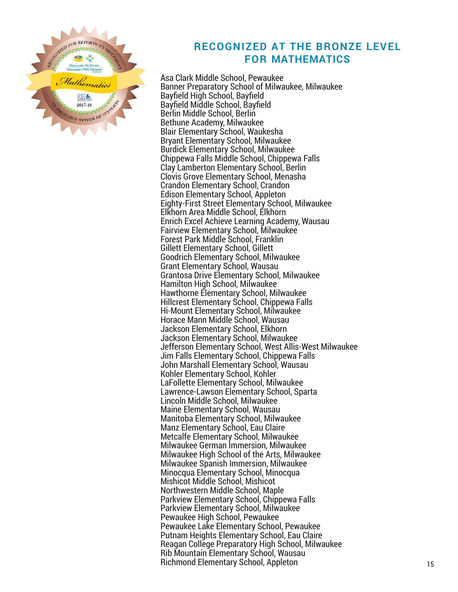

#### **RECOGNIZED AT THE BRONZE LEVEL FOR MATHEMATICS**

Asa Clark Middle School, Pewaukee Banner Preparatory School of Milwaukee, Milwaukee Bayfield High School, Bayfield Bayfield Middle School, Bayfield Berlin Middle School, Berlin Bethune Academy, Milwaukee Blair Elementary School, Waukesha Bryant Elementary School, Milwaukee Burdick Elementary School, Milwaukee Chippewa Falls Middle School, Chippewa Falls Clay Lamberton Elementary School, Berlin Clovis Grove Elementary School, Menasha Crandon Elementary School, Crandon Edison Elementary School, Appleton Eighty-First Street Elementary School, Milwaukee Elkhorn Area Middle School, Elkhorn Enrich Excel Achieve Learning Academy, Wausau Fairview Elementary School, Milwaukee Forest Park Middle School, Franklin Gillett Elementary School, Gillett Goodrich Elementary School, Milwaukee Grant Elementary School, Wausau Grantosa Drive Elementary School, Milwaukee Hamilton High School, Milwaukee Hawthorne Elementary School, Milwaukee Hillcrest Elementary School, Chippewa Falls Hi-Mount Elementary School, Milwaukee Horace Mann Middle School, Wausau Jackson Elementary School, Elkhorn Jackson Elementary School, Milwaukee Jefferson Elementary School, West Allis-West Milwaukee Jim Falls Elementary School, Chippewa Falls John Marshall Elementary School, Wausau Kohler Elementary School, Kohler LaFollette Elementary School, Milwaukee Lawrence-Lawson Elementary School, Sparta Lincoln Middle School, Milwaukee Maine Elementary School, Wausau Manitoba Elementary School, Milwaukee Manz Elementary School, Eau Claire Metcalfe Elementary School, Milwaukee Milwaukee German Immersion, Milwaukee Milwaukee High School of the Arts, Milwaukee Milwaukee Spanish Immersion, Milwaukee Minocqua Elementary School, Minocqua Mishicot Middle School, Mishicot Northwestern Middle School, Maple Parkview Elementary School, Chippewa Falls Parkview Elementary School, Milwaukee Pewaukee High School, Pewaukee Pewaukee Lake Elementary School, Pewaukee Putnam Heights Elementary School, Eau Claire Reagan College Preparatory High School, Milwaukee Rib Mountain Elementary School, Wausau Richmond Elementary School, Appleton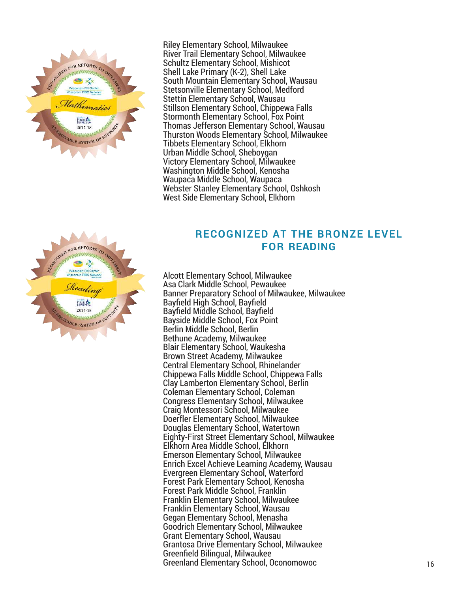

Riley Elementary School, Milwaukee River Trail Elementary School, Milwaukee Schultz Elementary School, Mishicot Shell Lake Primary (K-2), Shell Lake South Mountain Elementary School, Wausau Stetsonville Elementary School, Medford Stettin Elementary School, Wausau Stillson Elementary School, Chippewa Falls Stormonth Elementary School, Fox Point Thomas Jefferson Elementary School, Wausau Thurston Woods Elementary School, Milwaukee Tibbets Elementary School, Elkhorn Urban Middle School, Sheboygan Victory Elementary School, Milwaukee Washington Middle School, Kenosha Waupaca Middle School, Waupaca Webster Stanley Elementary School, Oshkosh West Side Elementary School, Elkhorn

# WED FOR EFFORTS TO D FUNDAL 2017-18 TABLE SYSTEM OF <sup>SU</sup>

#### **RECOGNIZED AT THE BRONZE LEVEL FOR READING**

Alcott Elementary School, Milwaukee Asa Clark Middle School, Pewaukee Banner Preparatory School of Milwaukee, Milwaukee Bayfield High School, Bayfield Bayfield Middle School, Bayfield Bayside Middle School, Fox Point Berlin Middle School, Berlin Bethune Academy, Milwaukee Blair Elementary School, Waukesha Brown Street Academy, Milwaukee Central Elementary School, Rhinelander Chippewa Falls Middle School, Chippewa Falls Clay Lamberton Elementary School, Berlin Coleman Elementary School, Coleman Congress Elementary School, Milwaukee Craig Montessori School, Milwaukee Doerfler Elementary School, Milwaukee Douglas Elementary School, Watertown Eighty-First Street Elementary School, Milwaukee Elkhorn Area Middle School, Elkhorn Emerson Elementary School, Milwaukee Enrich Excel Achieve Learning Academy, Wausau Evergreen Elementary School, Waterford Forest Park Elementary School, Kenosha Forest Park Middle School, Franklin Franklin Elementary School, Milwaukee Franklin Elementary School, Wausau Gegan Elementary School, Menasha Goodrich Elementary School, Milwaukee Grant Elementary School, Wausau Grantosa Drive Elementary School, Milwaukee Greenfield Bilingual, Milwaukee Greenland Elementary School, Oconomowoc